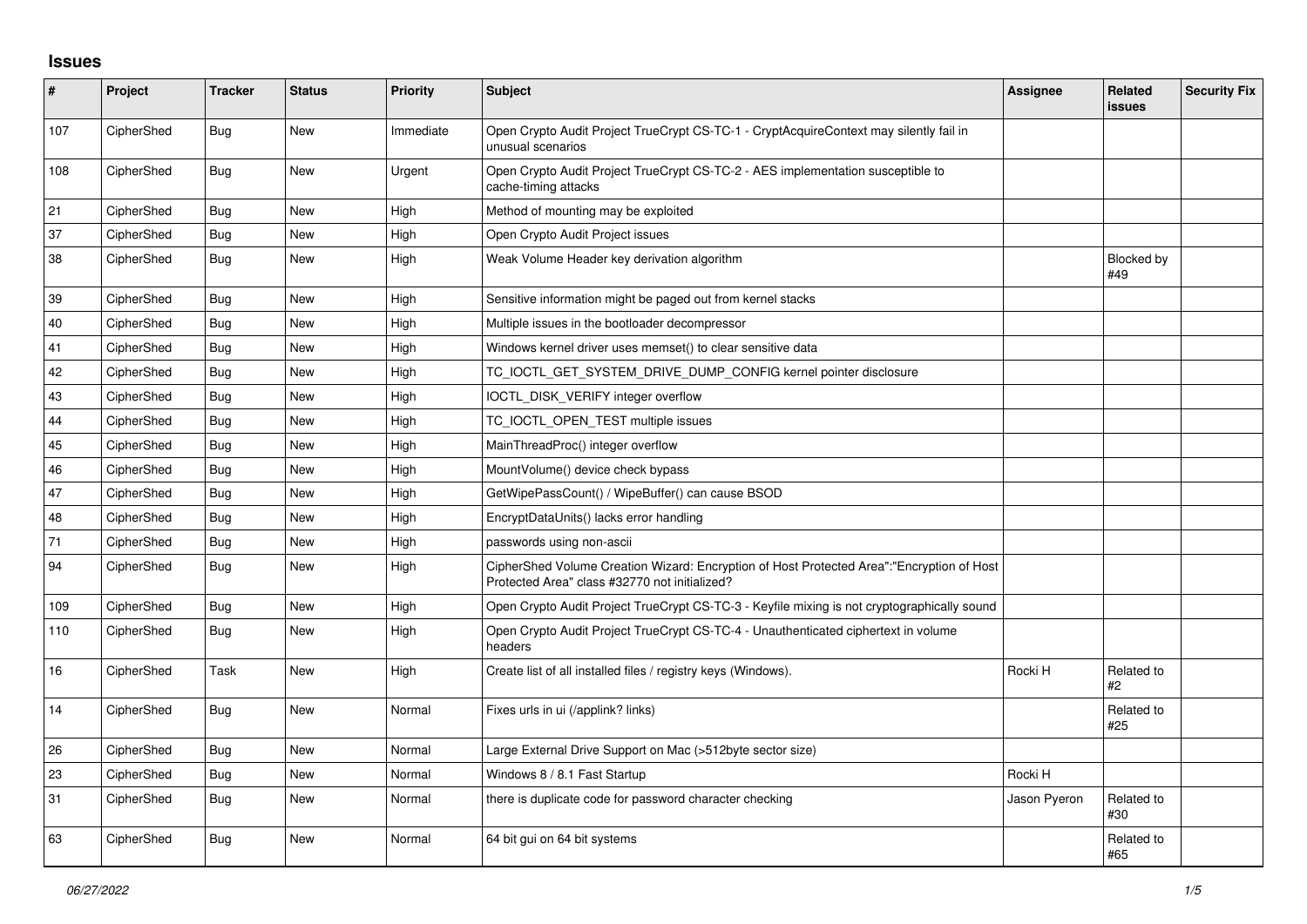## **Issues**

| $\pmb{\sharp}$ | Project    | <b>Tracker</b> | <b>Status</b> | <b>Priority</b> | <b>Subject</b>                                                                                                                             | Assignee     | Related<br><b>issues</b> | <b>Security Fix</b> |
|----------------|------------|----------------|---------------|-----------------|--------------------------------------------------------------------------------------------------------------------------------------------|--------------|--------------------------|---------------------|
| 107            | CipherShed | Bug            | <b>New</b>    | Immediate       | Open Crypto Audit Project TrueCrypt CS-TC-1 - CryptAcquireContext may silently fail in<br>unusual scenarios                                |              |                          |                     |
| 108            | CipherShed | Bug            | <b>New</b>    | Urgent          | Open Crypto Audit Project TrueCrypt CS-TC-2 - AES implementation susceptible to<br>cache-timing attacks                                    |              |                          |                     |
| 21             | CipherShed | <b>Bug</b>     | <b>New</b>    | High            | Method of mounting may be exploited                                                                                                        |              |                          |                     |
| 37             | CipherShed | Bug            | <b>New</b>    | High            | Open Crypto Audit Project issues                                                                                                           |              |                          |                     |
| 38             | CipherShed | Bug            | <b>New</b>    | High            | Weak Volume Header key derivation algorithm                                                                                                |              | <b>Blocked by</b><br>#49 |                     |
| 39             | CipherShed | Bug            | <b>New</b>    | High            | Sensitive information might be paged out from kernel stacks                                                                                |              |                          |                     |
| 40             | CipherShed | Bug            | New           | High            | Multiple issues in the bootloader decompressor                                                                                             |              |                          |                     |
| 41             | CipherShed | Bug            | <b>New</b>    | High            | Windows kernel driver uses memset() to clear sensitive data                                                                                |              |                          |                     |
| 42             | CipherShed | Bug            | New           | High            | TC_IOCTL_GET_SYSTEM_DRIVE_DUMP_CONFIG kernel pointer disclosure                                                                            |              |                          |                     |
| 43             | CipherShed | Bug            | <b>New</b>    | High            | IOCTL_DISK_VERIFY integer overflow                                                                                                         |              |                          |                     |
| 44             | CipherShed | Bug            | <b>New</b>    | High            | TC_IOCTL_OPEN_TEST multiple issues                                                                                                         |              |                          |                     |
| 45             | CipherShed | Bug            | New           | High            | MainThreadProc() integer overflow                                                                                                          |              |                          |                     |
| 46             | CipherShed | Bug            | <b>New</b>    | High            | MountVolume() device check bypass                                                                                                          |              |                          |                     |
| 47             | CipherShed | Bug            | <b>New</b>    | High            | GetWipePassCount() / WipeBuffer() can cause BSOD                                                                                           |              |                          |                     |
| 48             | CipherShed | Bug            | <b>New</b>    | High            | EncryptDataUnits() lacks error handling                                                                                                    |              |                          |                     |
| 71             | CipherShed | <b>Bug</b>     | <b>New</b>    | High            | passwords using non-ascii                                                                                                                  |              |                          |                     |
| 94             | CipherShed | Bug            | New           | High            | CipherShed Volume Creation Wizard: Encryption of Host Protected Area":"Encryption of Host<br>Protected Area" class #32770 not initialized? |              |                          |                     |
| 109            | CipherShed | Bug            | <b>New</b>    | High            | Open Crypto Audit Project TrueCrypt CS-TC-3 - Keyfile mixing is not cryptographically sound                                                |              |                          |                     |
| 110            | CipherShed | Bug            | <b>New</b>    | High            | Open Crypto Audit Project TrueCrypt CS-TC-4 - Unauthenticated ciphertext in volume<br>headers                                              |              |                          |                     |
| 16             | CipherShed | Task           | New           | High            | Create list of all installed files / registry keys (Windows).                                                                              | Rocki H      | Related to<br>#2         |                     |
| 14             | CipherShed | Bug            | <b>New</b>    | Normal          | Fixes urls in ui (/applink? links)                                                                                                         |              | Related to<br>#25        |                     |
| 26             | CipherShed | <b>Bug</b>     | <b>New</b>    | Normal          | Large External Drive Support on Mac (>512byte sector size)                                                                                 |              |                          |                     |
| 23             | CipherShed | Bug            | New           | Normal          | Windows 8 / 8.1 Fast Startup                                                                                                               | Rocki H      |                          |                     |
| 31             | CipherShed | Bug            | <b>New</b>    | Normal          | there is duplicate code for password character checking                                                                                    | Jason Pyeron | Related to<br>#30        |                     |
| 63             | CipherShed | Bug            | <b>New</b>    | Normal          | 64 bit gui on 64 bit systems                                                                                                               |              | Related to<br>#65        |                     |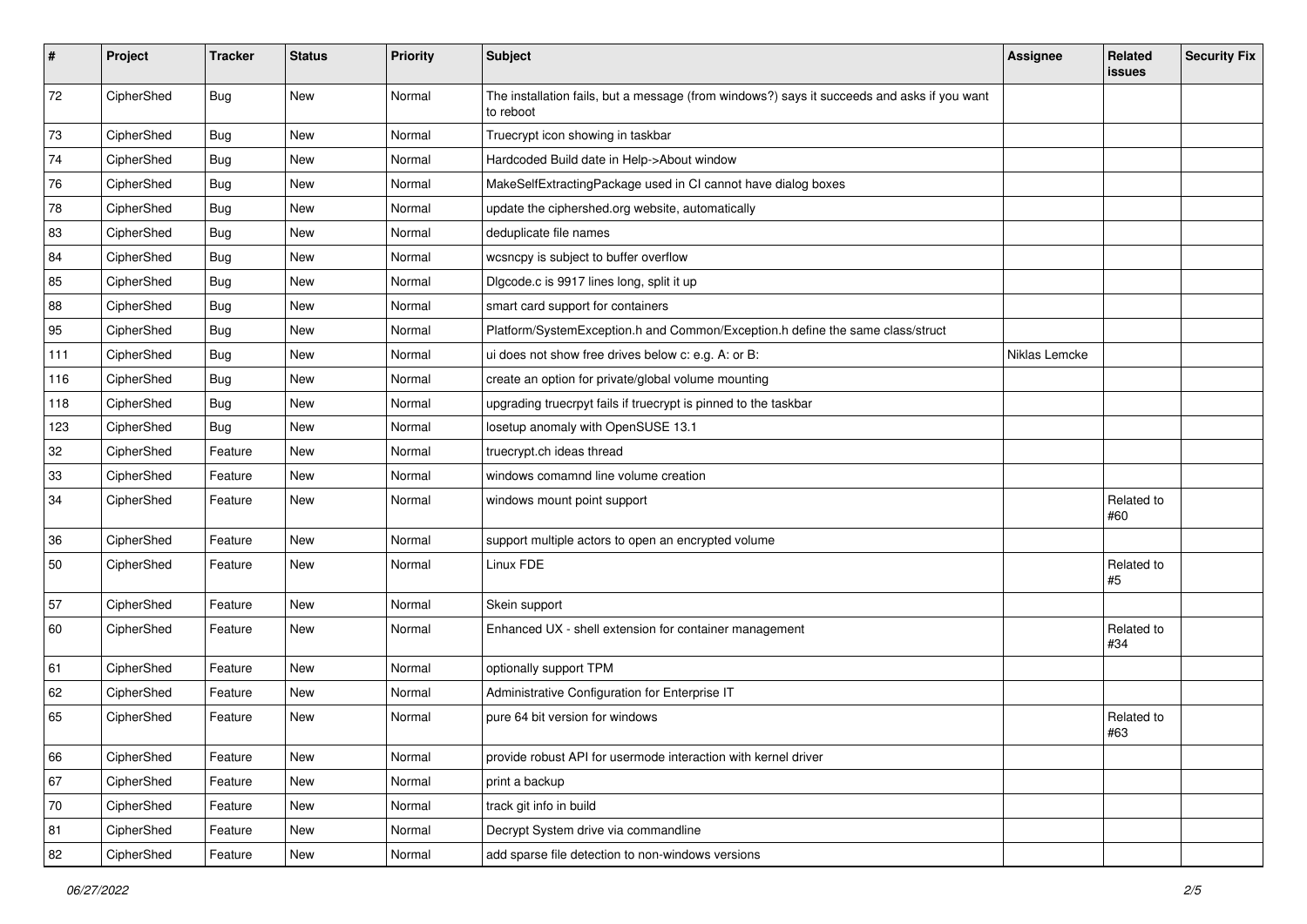| #   | Project    | <b>Tracker</b> | <b>Status</b> | Priority | Subject                                                                                                  | <b>Assignee</b> | Related<br><b>issues</b> | <b>Security Fix</b> |
|-----|------------|----------------|---------------|----------|----------------------------------------------------------------------------------------------------------|-----------------|--------------------------|---------------------|
| 72  | CipherShed | Bug            | New           | Normal   | The installation fails, but a message (from windows?) says it succeeds and asks if you want<br>to reboot |                 |                          |                     |
| 73  | CipherShed | <b>Bug</b>     | New           | Normal   | Truecrypt icon showing in taskbar                                                                        |                 |                          |                     |
| 74  | CipherShed | <b>Bug</b>     | New           | Normal   | Hardcoded Build date in Help->About window                                                               |                 |                          |                     |
| 76  | CipherShed | <b>Bug</b>     | New           | Normal   | MakeSelfExtractingPackage used in CI cannot have dialog boxes                                            |                 |                          |                     |
| 78  | CipherShed | <b>Bug</b>     | New           | Normal   | update the ciphershed.org website, automatically                                                         |                 |                          |                     |
| 83  | CipherShed | <b>Bug</b>     | New           | Normal   | deduplicate file names                                                                                   |                 |                          |                     |
| 84  | CipherShed | <b>Bug</b>     | New           | Normal   | wcsncpy is subject to buffer overflow                                                                    |                 |                          |                     |
| 85  | CipherShed | <b>Bug</b>     | New           | Normal   | Digcode.c is 9917 lines long, split it up                                                                |                 |                          |                     |
| 88  | CipherShed | Bug            | New           | Normal   | smart card support for containers                                                                        |                 |                          |                     |
| 95  | CipherShed | <b>Bug</b>     | New           | Normal   | Platform/SystemException.h and Common/Exception.h define the same class/struct                           |                 |                          |                     |
| 111 | CipherShed | Bug            | New           | Normal   | ui does not show free drives below c: e.g. A: or B:                                                      | Niklas Lemcke   |                          |                     |
| 116 | CipherShed | Bug            | New           | Normal   | create an option for private/global volume mounting                                                      |                 |                          |                     |
| 118 | CipherShed | Bug            | New           | Normal   | upgrading truecrpyt fails if truecrypt is pinned to the taskbar                                          |                 |                          |                     |
| 123 | CipherShed | <b>Bug</b>     | New           | Normal   | losetup anomaly with OpenSUSE 13.1                                                                       |                 |                          |                     |
| 32  | CipherShed | Feature        | New           | Normal   | truecrypt.ch ideas thread                                                                                |                 |                          |                     |
| 33  | CipherShed | Feature        | <b>New</b>    | Normal   | windows comamnd line volume creation                                                                     |                 |                          |                     |
| 34  | CipherShed | Feature        | New           | Normal   | windows mount point support                                                                              |                 | Related to<br>#60        |                     |
| 36  | CipherShed | Feature        | New           | Normal   | support multiple actors to open an encrypted volume                                                      |                 |                          |                     |
| 50  | CipherShed | Feature        | New           | Normal   | Linux FDE                                                                                                |                 | Related to<br>#5         |                     |
| 57  | CipherShed | Feature        | New           | Normal   | Skein support                                                                                            |                 |                          |                     |
| 60  | CipherShed | Feature        | New           | Normal   | Enhanced UX - shell extension for container management                                                   |                 | Related to<br>#34        |                     |
| 61  | CipherShed | Feature        | New           | Normal   | optionally support TPM                                                                                   |                 |                          |                     |
| 62  | CipherShed | Feature        | New           | Normal   | Administrative Configuration for Enterprise IT                                                           |                 |                          |                     |
| 65  | CipherShed | Feature        | New           | Normal   | pure 64 bit version for windows                                                                          |                 | Related to<br>#63        |                     |
| 66  | CipherShed | Feature        | New           | Normal   | provide robust API for usermode interaction with kernel driver                                           |                 |                          |                     |
| 67  | CipherShed | Feature        | New           | Normal   | print a backup                                                                                           |                 |                          |                     |
| 70  | CipherShed | Feature        | New           | Normal   | track git info in build                                                                                  |                 |                          |                     |
| 81  | CipherShed | Feature        | New           | Normal   | Decrypt System drive via commandline                                                                     |                 |                          |                     |
| 82  | CipherShed | Feature        | New           | Normal   | add sparse file detection to non-windows versions                                                        |                 |                          |                     |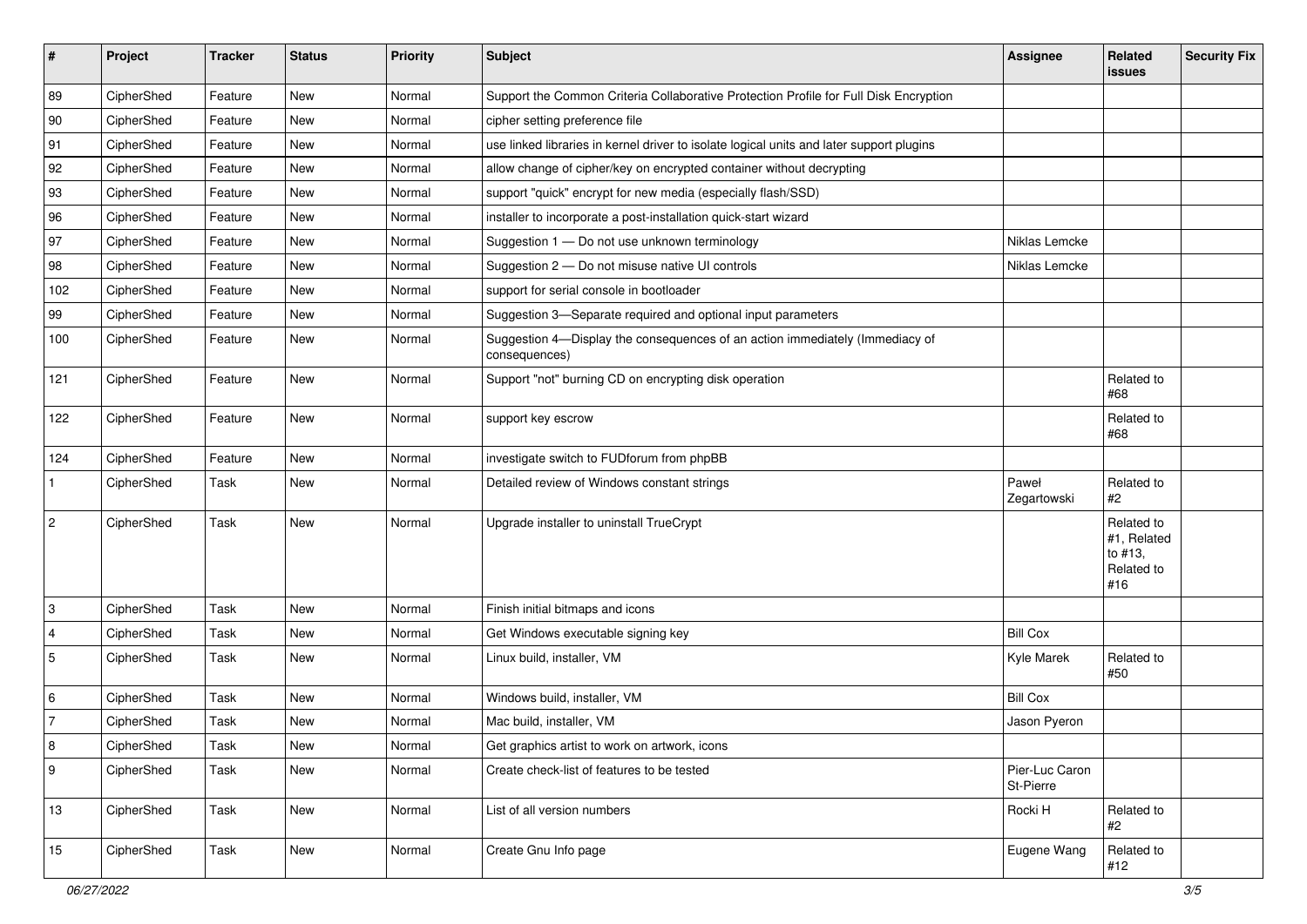| #              | Project    | <b>Tracker</b> | <b>Status</b> | Priority | Subject                                                                                       | <b>Assignee</b>             | Related<br><b>issues</b>                                  | <b>Security Fix</b> |
|----------------|------------|----------------|---------------|----------|-----------------------------------------------------------------------------------------------|-----------------------------|-----------------------------------------------------------|---------------------|
| 89             | CipherShed | Feature        | New           | Normal   | Support the Common Criteria Collaborative Protection Profile for Full Disk Encryption         |                             |                                                           |                     |
| 90             | CipherShed | Feature        | New           | Normal   | cipher setting preference file                                                                |                             |                                                           |                     |
| 91             | CipherShed | Feature        | New           | Normal   | use linked libraries in kernel driver to isolate logical units and later support plugins      |                             |                                                           |                     |
| 92             | CipherShed | Feature        | <b>New</b>    | Normal   | allow change of cipher/key on encrypted container without decrypting                          |                             |                                                           |                     |
| 93             | CipherShed | Feature        | New           | Normal   | support "quick" encrypt for new media (especially flash/SSD)                                  |                             |                                                           |                     |
| 96             | CipherShed | Feature        | <b>New</b>    | Normal   | installer to incorporate a post-installation quick-start wizard                               |                             |                                                           |                     |
| 97             | CipherShed | Feature        | New           | Normal   | Suggestion 1 - Do not use unknown terminology                                                 | Niklas Lemcke               |                                                           |                     |
| 98             | CipherShed | Feature        | New           | Normal   | Suggestion 2 - Do not misuse native UI controls                                               | Niklas Lemcke               |                                                           |                     |
| 102            | CipherShed | Feature        | <b>New</b>    | Normal   | support for serial console in bootloader                                                      |                             |                                                           |                     |
| 99             | CipherShed | Feature        | New           | Normal   | Suggestion 3-Separate required and optional input parameters                                  |                             |                                                           |                     |
| 100            | CipherShed | Feature        | New           | Normal   | Suggestion 4-Display the consequences of an action immediately (Immediacy of<br>consequences) |                             |                                                           |                     |
| 121            | CipherShed | Feature        | New           | Normal   | Support "not" burning CD on encrypting disk operation                                         |                             | Related to<br>#68                                         |                     |
| 122            | CipherShed | Feature        | New           | Normal   | support key escrow                                                                            |                             | Related to<br>#68                                         |                     |
| 124            | CipherShed | Feature        | <b>New</b>    | Normal   | investigate switch to FUDforum from phpBB                                                     |                             |                                                           |                     |
| $\mathbf{1}$   | CipherShed | Task           | New           | Normal   | Detailed review of Windows constant strings                                                   | Paweł<br>Zegartowski        | Related to<br>#2                                          |                     |
| $\overline{2}$ | CipherShed | Task           | <b>New</b>    | Normal   | Upgrade installer to uninstall TrueCrypt                                                      |                             | Related to<br>#1, Related<br>to #13,<br>Related to<br>#16 |                     |
| 3              | CipherShed | Task           | New           | Normal   | Finish initial bitmaps and icons                                                              |                             |                                                           |                     |
| $\overline{4}$ | CipherShed | Task           | New           | Normal   | Get Windows executable signing key                                                            | <b>Bill Cox</b>             |                                                           |                     |
| $\sqrt{5}$     | CipherShed | Task           | New           | Normal   | Linux build, installer, VM                                                                    | Kyle Marek                  | Related to<br>#50                                         |                     |
| 6              | CipherShed | Task           | New           | Normal   | Windows build, installer, VM                                                                  | <b>Bill Cox</b>             |                                                           |                     |
| $\overline{7}$ | CipherShed | Task           | New           | Normal   | Mac build, installer, VM                                                                      | Jason Pyeron                |                                                           |                     |
| 8              | CipherShed | Task           | New           | Normal   | Get graphics artist to work on artwork, icons                                                 |                             |                                                           |                     |
| 9              | CipherShed | Task           | New           | Normal   | Create check-list of features to be tested                                                    | Pier-Luc Caron<br>St-Pierre |                                                           |                     |
| 13             | CipherShed | Task           | New           | Normal   | List of all version numbers                                                                   | Rocki H                     | Related to<br>#2                                          |                     |
| 15             | CipherShed | Task           | New           | Normal   | Create Gnu Info page                                                                          | Eugene Wang                 | Related to<br>#12                                         |                     |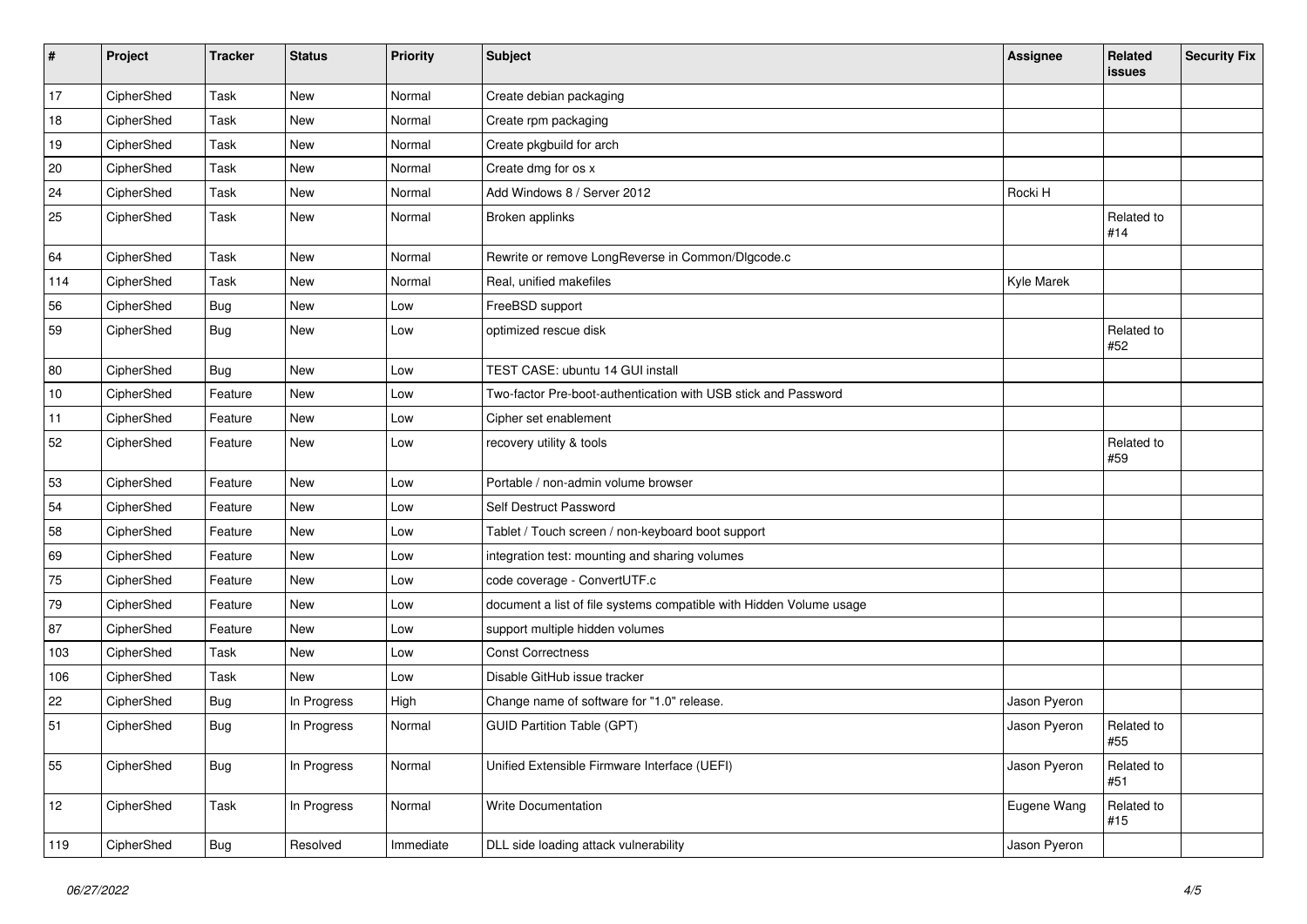| #   | Project    | <b>Tracker</b> | <b>Status</b> | Priority  | Subject                                                             | <b>Assignee</b> | Related<br><b>issues</b> | <b>Security Fix</b> |
|-----|------------|----------------|---------------|-----------|---------------------------------------------------------------------|-----------------|--------------------------|---------------------|
| 17  | CipherShed | Task           | <b>New</b>    | Normal    | Create debian packaging                                             |                 |                          |                     |
| 18  | CipherShed | Task           | <b>New</b>    | Normal    | Create rpm packaging                                                |                 |                          |                     |
| 19  | CipherShed | Task           | New           | Normal    | Create pkgbuild for arch                                            |                 |                          |                     |
| 20  | CipherShed | Task           | New           | Normal    | Create dmg for os x                                                 |                 |                          |                     |
| 24  | CipherShed | Task           | New           | Normal    | Add Windows 8 / Server 2012                                         | Rocki H         |                          |                     |
| 25  | CipherShed | Task           | New           | Normal    | Broken applinks                                                     |                 | Related to<br>#14        |                     |
| 64  | CipherShed | Task           | New           | Normal    | Rewrite or remove LongReverse in Common/Dlgcode.c                   |                 |                          |                     |
| 114 | CipherShed | Task           | New           | Normal    | Real, unified makefiles                                             | Kyle Marek      |                          |                     |
| 56  | CipherShed | <b>Bug</b>     | New           | Low       | FreeBSD support                                                     |                 |                          |                     |
| 59  | CipherShed | Bug            | New           | Low       | optimized rescue disk                                               |                 | Related to<br>#52        |                     |
| 80  | CipherShed | Bug            | New           | Low       | TEST CASE: ubuntu 14 GUI install                                    |                 |                          |                     |
| 10  | CipherShed | Feature        | <b>New</b>    | Low       | Two-factor Pre-boot-authentication with USB stick and Password      |                 |                          |                     |
| 11  | CipherShed | Feature        | New           | Low       | Cipher set enablement                                               |                 |                          |                     |
| 52  | CipherShed | Feature        | New           | Low       | recovery utility & tools                                            |                 | Related to<br>#59        |                     |
| 53  | CipherShed | Feature        | New           | Low       | Portable / non-admin volume browser                                 |                 |                          |                     |
| 54  | CipherShed | Feature        | New           | Low       | Self Destruct Password                                              |                 |                          |                     |
| 58  | CipherShed | Feature        | New           | Low       | Tablet / Touch screen / non-keyboard boot support                   |                 |                          |                     |
| 69  | CipherShed | Feature        | New           | Low       | integration test: mounting and sharing volumes                      |                 |                          |                     |
| 75  | CipherShed | Feature        | New           | Low       | code coverage - ConvertUTF.c                                        |                 |                          |                     |
| 79  | CipherShed | Feature        | New           | Low       | document a list of file systems compatible with Hidden Volume usage |                 |                          |                     |
| 87  | CipherShed | Feature        | New           | Low       | support multiple hidden volumes                                     |                 |                          |                     |
| 103 | CipherShed | Task           | <b>New</b>    | Low       | <b>Const Correctness</b>                                            |                 |                          |                     |
| 106 | CipherShed | Task           | New           | Low       | Disable GitHub issue tracker                                        |                 |                          |                     |
| 22  | CipherShed | <b>Bug</b>     | In Progress   | High      | Change name of software for "1.0" release.                          | Jason Pyeron    |                          |                     |
| 51  | CipherShed | Bug            | In Progress   | Normal    | <b>GUID Partition Table (GPT)</b>                                   | Jason Pyeron    | Related to<br>#55        |                     |
| 55  | CipherShed | <b>Bug</b>     | In Progress   | Normal    | Unified Extensible Firmware Interface (UEFI)                        | Jason Pyeron    | Related to<br>#51        |                     |
| 12  | CipherShed | Task           | In Progress   | Normal    | Write Documentation                                                 | Eugene Wang     | Related to<br>#15        |                     |
| 119 | CipherShed | <b>Bug</b>     | Resolved      | Immediate | DLL side loading attack vulnerability                               | Jason Pyeron    |                          |                     |